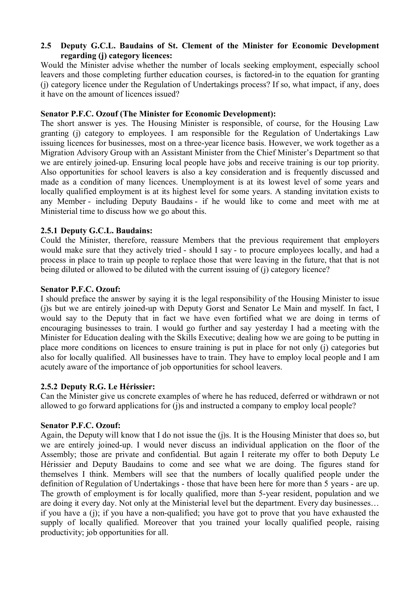## **2.5** � **Deputy G.C.L. Baudains of St. Clement of the Minister for Economic Development regarding (j) category licences:**

Would the Minister advise whether the number of locals seeking employment, especially school leavers and those completing further education courses, is factored-in to the equation for granting (j) category licence under the Regulation of Undertakings process? If so, what impact, if any, does it have on the amount of licences issued?

### **Senator P.F.C. Ozouf (The Minister for Economic Development):**

The short answer is yes. The Housing Minister is responsible, of course, for the Housing Law granting (j) category to employees. I am responsible for the Regulation of Undertakings Law issuing licences for businesses, most on a three-year licence basis. However, we work together as a Migration Advisory Group with an Assistant Minister from the Chief Minister's Department so that we are entirely joined-up. Ensuring local people have jobs and receive training is our top priority. Also opportunities for school leavers is also a key consideration and is frequently discussed and made as a condition of many licences. Unemployment is at its lowest level of some years and locally qualified employment is at its highest level for some years. A standing invitation exists to any Member - including Deputy Baudains - if he would like to come and meet with me at Ministerial time to discuss how we go about this.

## **2.5.1 Deputy G.C.L. Baudains:**

Could the Minister, therefore, reassure Members that the previous requirement that employers would make sure that they actively tried - should I say - to procure employees locally, and had a process in place to train up people to replace those that were leaving in the future, that that is not being diluted or allowed to be diluted with the current issuing of (j) category licence?

## **Senator P.F.C. Ozouf:**

I should preface the answer by saying it is the legal responsibility of the Housing Minister to issue (j)s but we are entirely joined-up with Deputy Gorst and Senator Le Main and myself. In fact, I would say to the Deputy that in fact we have even fortified what we are doing in terms of encouraging businesses to train. I would go further and say yesterday I had a meeting with the Minister for Education dealing with the Skills Executive; dealing how we are going to be putting in place more conditions on licences to ensure training is put in place for not only (j) categories but also for locally qualified. All businesses have to train. They have to employ local people and I am acutely aware of the importance of job opportunities for school leavers.

#### **2.5.2 Deputy R.G. Le Hérissier:**

Can the Minister give us concrete examples of where he has reduced, deferred or withdrawn or not allowed to go forward applications for (i)s and instructed a company to employ local people?

#### **Senator P.F.C. Ozouf:**

Again, the Deputy will know that I do not issue the (j)s. It is the Housing Minister that does so, but we are entirely joined-up. I would never discuss an individual application on the floor of the Assembly; those are private and confidential. But again I reiterate my offer to both Deputy Le Hérissier and Deputy Baudains to come and see what we are doing. The figures stand for themselves I think. Members will see that the numbers of locally qualified people under the definition of Regulation of Undertakings - those that have been here for more than 5 years - are up. The growth of employment is for locally qualified, more than 5-year resident, population and we are doing it every day. Not only at the Ministerial level but the department. Every day businesses… if you have a (j); if you have a non-qualified; you have got to prove that you have exhausted the supply of locally qualified. Moreover that you trained your locally qualified people, raising productivity; job opportunities for all.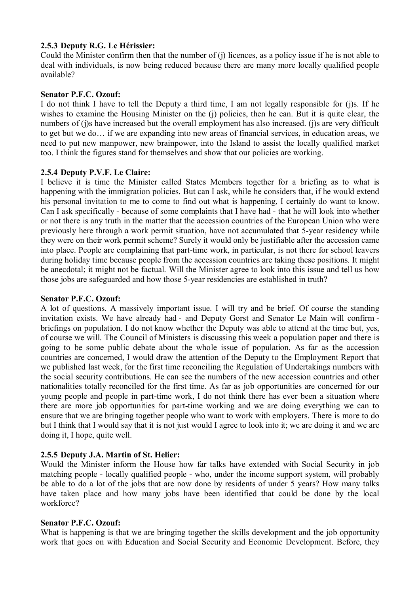# **2.5.3 Deputy R.G. Le Hérissier:**

Could the Minister confirm then that the number of (j) licences, as a policy issue if he is not able to deal with individuals, is now being reduced because there are many more locally qualified people available?

## **Senator P.F.C. Ozouf:**

I do not think I have to tell the Deputy a third time, I am not legally responsible for (j)s. If he wishes to examine the Housing Minister on the (j) policies, then he can. But it is quite clear, the numbers of (j)s have increased but the overall employment has also increased. (j)s are very difficult to get but we do… if we are expanding into new areas of financial services, in education areas, we need to put new manpower, new brainpower, into the Island to assist the locally qualified market too. I think the figures stand for themselves and show that our policies are working.

## **2.5.4 Deputy P.V.F. Le Claire:**

I believe it is time the Minister called States Members together for a briefing as to what is happening with the immigration policies. But can I ask, while he considers that, if he would extend his personal invitation to me to come to find out what is happening, I certainly do want to know. Can I ask specifically - because of some complaints that I have had - that he will look into whether or not there is any truth in the matter that the accession countries of the European Union who were previously here through a work permit situation, have not accumulated that 5-year residency while they were on their work permit scheme? Surely it would only be justifiable after the accession came into place. People are complaining that part-time work, in particular, is not there for school leavers during holiday time because people from the accession countries are taking these positions. It might be anecdotal; it might not be factual. Will the Minister agree to look into this issue and tell us how those jobs are safeguarded and how those 5-year residencies are established in truth?

#### **Senator P.F.C. Ozouf:**

A lot of questions. A massively important issue. I will try and be brief. Of course the standing invitation exists. We have already had - and Deputy Gorst and Senator Le Main will confirm briefings on population. I do not know whether the Deputy was able to attend at the time but, yes, of course we will. The Council of Ministers is discussing this week a population paper and there is going to be some public debate about the whole issue of population. As far as the accession countries are concerned, I would draw the attention of the Deputy to the Employment Report that we published last week, for the first time reconciling the Regulation of Undertakings numbers with the social security contributions. He can see the numbers of the new accession countries and other nationalities totally reconciled for the first time. As far as job opportunities are concerned for our young people and people in part-time work, I do not think there has ever been a situation where there are more job opportunities for part-time working and we are doing everything we can to ensure that we are bringing together people who want to work with employers. There is more to do but I think that I would say that it is not just would I agree to look into it; we are doing it and we are doing it, I hope, quite well.

# **2.5.5 Deputy J.A. Martin of St. Helier:**

Would the Minister inform the House how far talks have extended with Social Security in job matching people - locally qualified people - who, under the income support system, will probably be able to do a lot of the jobs that are now done by residents of under 5 years? How many talks have taken place and how many jobs have been identified that could be done by the local workforce?

#### **Senator P.F.C. Ozouf:**

What is happening is that we are bringing together the skills development and the job opportunity work that goes on with Education and Social Security and Economic Development. Before, they